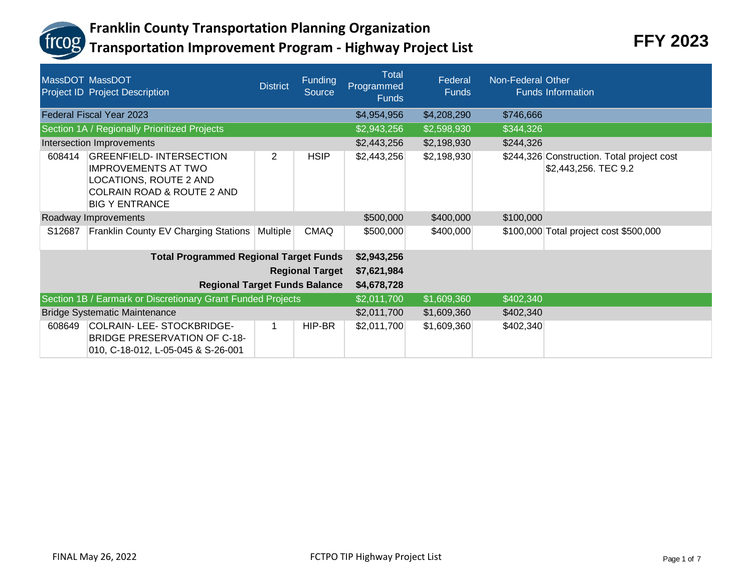

|        | MassDOT MassDOT<br><b>Project ID Project Description</b>                                                                                                 | <b>District</b>        | <b>Funding</b><br><b>Source</b> | <b>Total</b><br>Programmed<br><b>Funds</b> | Federal<br><b>Funds</b> | Non-Federal Other | <b>Funds Information</b>                                           |
|--------|----------------------------------------------------------------------------------------------------------------------------------------------------------|------------------------|---------------------------------|--------------------------------------------|-------------------------|-------------------|--------------------------------------------------------------------|
|        | <b>Federal Fiscal Year 2023</b>                                                                                                                          |                        |                                 | \$4,954,956                                | \$4,208,290             | \$746,666         |                                                                    |
|        | Section 1A / Regionally Prioritized Projects                                                                                                             |                        |                                 | \$2,943,256                                | \$2,598,930             | \$344,326         |                                                                    |
|        | Intersection Improvements                                                                                                                                |                        |                                 | \$2,443,256                                | \$2,198,930             | \$244,326         |                                                                    |
| 608414 | <b>GREENFIELD-INTERSECTION</b><br><b>IMPROVEMENTS AT TWO</b><br>LOCATIONS, ROUTE 2 AND<br><b>COLRAIN ROAD &amp; ROUTE 2 AND</b><br><b>BIG Y ENTRANCE</b> | 2                      | <b>HSIP</b>                     | \$2,443,256                                | \$2,198,930             |                   | \$244,326 Construction. Total project cost<br>\$2,443,256. TEC 9.2 |
|        | Roadway Improvements                                                                                                                                     |                        |                                 | \$500,000                                  | \$400,000               | \$100,000         |                                                                    |
| S12687 | Franklin County EV Charging Stations                                                                                                                     | Multiple               | <b>CMAQ</b>                     | \$500,000                                  | \$400,000               |                   | \$100,000 Total project cost \$500,000                             |
|        | <b>Total Programmed Regional Target Funds</b>                                                                                                            |                        | \$2,943,256                     |                                            |                         |                   |                                                                    |
|        |                                                                                                                                                          | <b>Regional Target</b> | \$7,621,984                     |                                            |                         |                   |                                                                    |
|        | <b>Regional Target Funds Balance</b>                                                                                                                     |                        |                                 | \$4,678,728                                |                         |                   |                                                                    |
|        | Section 1B / Earmark or Discretionary Grant Funded Projects                                                                                              |                        | \$2,011,700                     | \$1,609,360                                | \$402,340               |                   |                                                                    |
|        | <b>Bridge Systematic Maintenance</b>                                                                                                                     |                        | \$2,011,700                     | \$1,609,360                                | \$402,340               |                   |                                                                    |
| 608649 | COLRAIN- LEE- STOCKBRIDGE-<br><b>BRIDGE PRESERVATION OF C-18-</b><br>010, C-18-012, L-05-045 & S-26-001                                                  | 1                      | HIP-BR                          | \$2,011,700                                | \$1,609,360             | \$402,340         |                                                                    |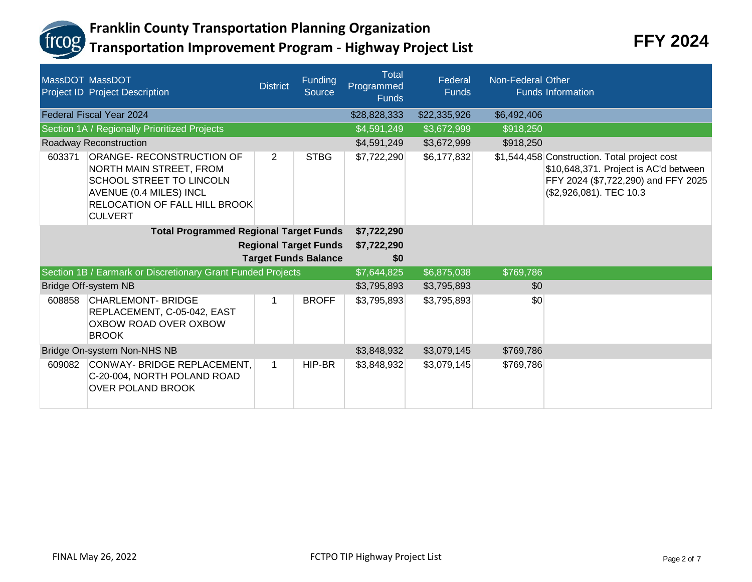

|        | MassDOT MassDOT<br>Project ID Project Description                                                                                                                     | <b>District</b>              | Funding<br><b>Source</b>    | <b>Total</b><br>Programmed<br><b>Funds</b> | Federal<br><b>Funds</b> | Non-Federal Other | <b>Funds Information</b>                                                                                                                                |
|--------|-----------------------------------------------------------------------------------------------------------------------------------------------------------------------|------------------------------|-----------------------------|--------------------------------------------|-------------------------|-------------------|---------------------------------------------------------------------------------------------------------------------------------------------------------|
|        | <b>Federal Fiscal Year 2024</b>                                                                                                                                       |                              |                             | \$28,828,333                               | \$22,335,926            | \$6,492,406       |                                                                                                                                                         |
|        | Section 1A / Regionally Prioritized Projects                                                                                                                          |                              |                             | \$4,591,249                                | \$3,672,999             | \$918,250         |                                                                                                                                                         |
|        | Roadway Reconstruction                                                                                                                                                |                              |                             | \$4,591,249                                | \$3,672,999             | \$918,250         |                                                                                                                                                         |
| 603371 | ORANGE- RECONSTRUCTION OF<br>NORTH MAIN STREET, FROM<br>SCHOOL STREET TO LINCOLN<br>AVENUE (0.4 MILES) INCL<br><b>RELOCATION OF FALL HILL BROOK</b><br><b>CULVERT</b> | $\overline{2}$               | <b>STBG</b>                 | \$7,722,290                                | \$6,177,832             |                   | \$1,544,458 Construction. Total project cost<br>\$10,648,371. Project is AC'd between<br>FFY 2024 (\$7,722,290) and FFY 2025<br>(\$2,926,081). TEC 10.3 |
|        | <b>Total Programmed Regional Target Funds</b>                                                                                                                         |                              |                             | \$7,722,290                                |                         |                   |                                                                                                                                                         |
|        |                                                                                                                                                                       | <b>Regional Target Funds</b> | \$7,722,290                 |                                            |                         |                   |                                                                                                                                                         |
|        |                                                                                                                                                                       |                              | <b>Target Funds Balance</b> | \$0                                        |                         |                   |                                                                                                                                                         |
|        | Section 1B / Earmark or Discretionary Grant Funded Projects                                                                                                           |                              |                             | \$7,644,825                                | \$6,875,038             | \$769,786         |                                                                                                                                                         |
|        | Bridge Off-system NB                                                                                                                                                  |                              |                             | \$3,795,893                                | \$3,795,893             | \$0               |                                                                                                                                                         |
| 608858 | <b>CHARLEMONT- BRIDGE</b><br>REPLACEMENT, C-05-042, EAST<br>OXBOW ROAD OVER OXBOW<br><b>BROOK</b>                                                                     |                              | <b>BROFF</b>                | \$3,795,893                                | \$3,795,893             | \$0               |                                                                                                                                                         |
|        | Bridge On-system Non-NHS NB                                                                                                                                           |                              | \$3,848,932                 | \$3,079,145                                | \$769,786               |                   |                                                                                                                                                         |
| 609082 | CONWAY- BRIDGE REPLACEMENT,<br>C-20-004, NORTH POLAND ROAD<br><b>OVER POLAND BROOK</b>                                                                                | $\mathbf 1$                  | HIP-BR                      | \$3,848,932                                | \$3,079,145             | \$769,786         |                                                                                                                                                         |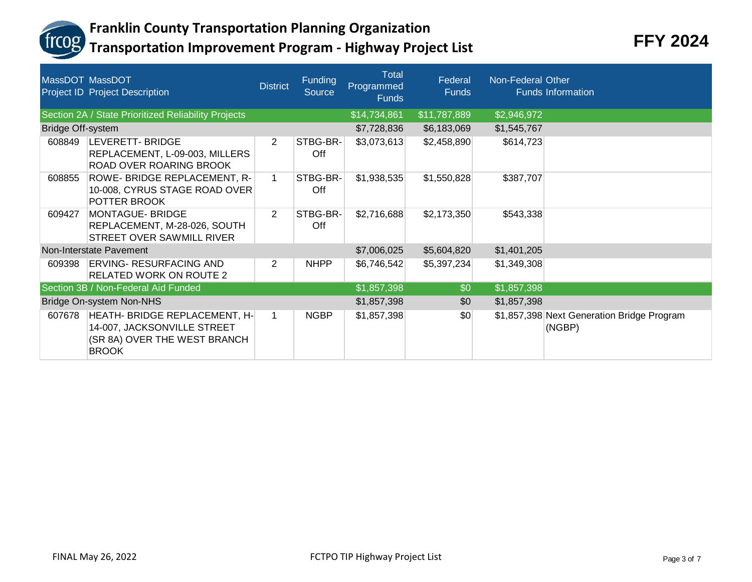

|                          | MassDOT MassDOT<br>Project ID Project Description                                                            | <b>District</b> | <b>Funding</b><br><b>Source</b> | <b>Total</b><br>Programmed<br><b>Funds</b> | Federal<br><b>Funds</b> | Non-Federal Other | <b>Funds Information</b>                             |
|--------------------------|--------------------------------------------------------------------------------------------------------------|-----------------|---------------------------------|--------------------------------------------|-------------------------|-------------------|------------------------------------------------------|
|                          | Section 2A / State Prioritized Reliability Projects                                                          |                 |                                 | \$14,734,861                               | \$11,787,889            | \$2,946,972       |                                                      |
| <b>Bridge Off-system</b> |                                                                                                              |                 |                                 | \$7,728,836                                | \$6,183,069             | \$1,545,767       |                                                      |
| 608849                   | <b>LEVERETT-BRIDGE</b><br>REPLACEMENT, L-09-003, MILLERS<br>ROAD OVER ROARING BROOK                          | 2               | STBG-BR-<br>Off                 | \$3,073,613                                | \$2,458,890             | \$614,723         |                                                      |
| 608855                   | ROWE- BRIDGE REPLACEMENT, R-<br>10-008, CYRUS STAGE ROAD OVER<br>POTTER BROOK                                | $\mathbf 1$     | STBG-BR-<br>Off                 | \$1,938,535                                | \$1,550,828             | \$387,707         |                                                      |
| 609427                   | <b>MONTAGUE-BRIDGE</b><br>REPLACEMENT, M-28-026, SOUTH<br>STREET OVER SAWMILL RIVER                          | 2               | STBG-BR-<br>Off                 | \$2,716,688                                | \$2,173,350             | \$543,338         |                                                      |
|                          | Non-Interstate Pavement                                                                                      |                 |                                 | \$7,006,025                                | \$5,604,820             | \$1,401,205       |                                                      |
|                          | 609398 ERVING- RESURFACING AND<br><b>RELATED WORK ON ROUTE 2</b>                                             | 2               | <b>NHPP</b>                     | \$6,746,542                                | \$5,397,234             | \$1,349,308       |                                                      |
|                          | Section 3B / Non-Federal Aid Funded                                                                          |                 |                                 | \$1,857,398                                | \$0                     | \$1,857,398       |                                                      |
|                          | Bridge On-system Non-NHS                                                                                     |                 |                                 | \$1,857,398                                | \$0                     | \$1,857,398       |                                                      |
| 607678                   | HEATH- BRIDGE REPLACEMENT, H-<br>14-007, JACKSONVILLE STREET<br>(SR 8A) OVER THE WEST BRANCH<br><b>BROOK</b> | 1               | <b>NGBP</b>                     | \$1,857,398                                | \$0                     |                   | \$1,857,398 Next Generation Bridge Program<br>(NGBP) |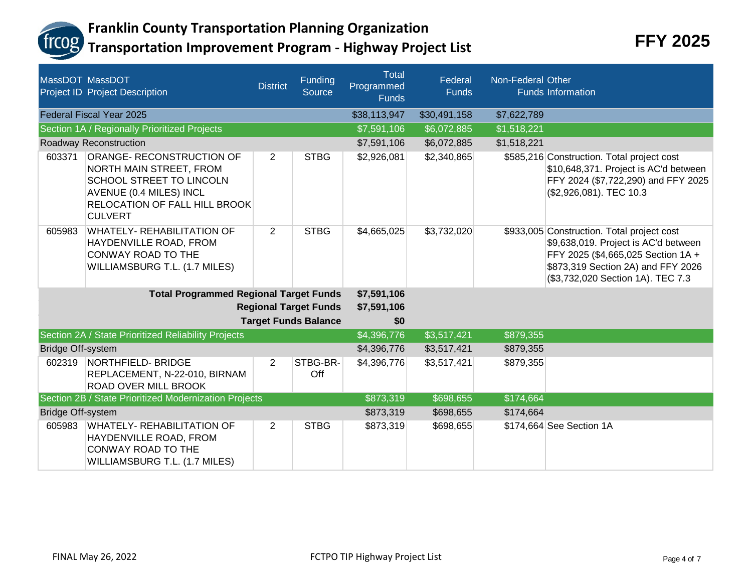

|                              | MassDOT MassDOT<br><b>Project ID Project Description</b>                                                                                                       | <b>District</b> | Funding<br>Source           | <b>Total</b><br>Programmed<br><b>Funds</b> | Federal<br><b>Funds</b> | Non-Federal Other | <b>Funds Information</b>                                                                                                                                                                            |
|------------------------------|----------------------------------------------------------------------------------------------------------------------------------------------------------------|-----------------|-----------------------------|--------------------------------------------|-------------------------|-------------------|-----------------------------------------------------------------------------------------------------------------------------------------------------------------------------------------------------|
|                              | Federal Fiscal Year 2025                                                                                                                                       |                 |                             | \$38,113,947                               | \$30,491,158            | \$7,622,789       |                                                                                                                                                                                                     |
|                              | Section 1A / Regionally Prioritized Projects                                                                                                                   |                 |                             | \$7,591,106                                | \$6,072,885             | \$1,518,221       |                                                                                                                                                                                                     |
|                              | Roadway Reconstruction                                                                                                                                         |                 |                             | \$7,591,106                                | \$6,072,885             | \$1,518,221       |                                                                                                                                                                                                     |
| 603371                       | ORANGE- RECONSTRUCTION OF<br>NORTH MAIN STREET, FROM<br>SCHOOL STREET TO LINCOLN<br>AVENUE (0.4 MILES) INCL<br>RELOCATION OF FALL HILL BROOK<br><b>CULVERT</b> | $\overline{2}$  | <b>STBG</b>                 | \$2,926,081                                | \$2,340,865             |                   | \$585,216 Construction. Total project cost<br>\$10,648,371. Project is AC'd between<br>FFY 2024 (\$7,722,290) and FFY 2025<br>(\$2,926,081). TEC 10.3                                               |
| 605983                       | <b>WHATELY- REHABILITATION OF</b><br>HAYDENVILLE ROAD, FROM<br><b>CONWAY ROAD TO THE</b><br>WILLIAMSBURG T.L. (1.7 MILES)                                      | $\overline{2}$  | <b>STBG</b>                 | \$4,665,025                                | \$3,732,020             |                   | \$933,005 Construction. Total project cost<br>\$9,638,019. Project is AC'd between<br>FFY 2025 (\$4,665,025 Section 1A +<br>\$873,319 Section 2A) and FFY 2026<br>(\$3,732,020 Section 1A). TEC 7.3 |
|                              | <b>Total Programmed Regional Target Funds</b>                                                                                                                  |                 | \$7,591,106                 |                                            |                         |                   |                                                                                                                                                                                                     |
| <b>Regional Target Funds</b> |                                                                                                                                                                |                 | \$7,591,106                 |                                            |                         |                   |                                                                                                                                                                                                     |
|                              |                                                                                                                                                                |                 | <b>Target Funds Balance</b> | \$0                                        |                         |                   |                                                                                                                                                                                                     |
|                              | Section 2A / State Prioritized Reliability Projects                                                                                                            |                 |                             | \$4,396,776                                | \$3,517,421             | \$879,355         |                                                                                                                                                                                                     |
| <b>Bridge Off-system</b>     |                                                                                                                                                                |                 |                             | \$4,396,776                                | \$3,517,421             | \$879,355         |                                                                                                                                                                                                     |
| 602319                       | NORTHFIELD-BRIDGE<br>REPLACEMENT, N-22-010, BIRNAM<br><b>ROAD OVER MILL BROOK</b>                                                                              | $\overline{2}$  | STBG-BR-<br>Off             | \$4,396,776                                | \$3,517,421             | \$879,355         |                                                                                                                                                                                                     |
|                              | Section 2B / State Prioritized Modernization Projects                                                                                                          |                 |                             | \$873,319                                  | \$698,655               | \$174,664         |                                                                                                                                                                                                     |
| <b>Bridge Off-system</b>     |                                                                                                                                                                |                 |                             | \$873,319                                  | \$698,655               | \$174,664         |                                                                                                                                                                                                     |
| 605983                       | <b>WHATELY- REHABILITATION OF</b><br>HAYDENVILLE ROAD, FROM<br>CONWAY ROAD TO THE<br>WILLIAMSBURG T.L. (1.7 MILES)                                             | $\overline{2}$  | <b>STBG</b>                 | \$873,319                                  | \$698,655               |                   | \$174,664 See Section 1A                                                                                                                                                                            |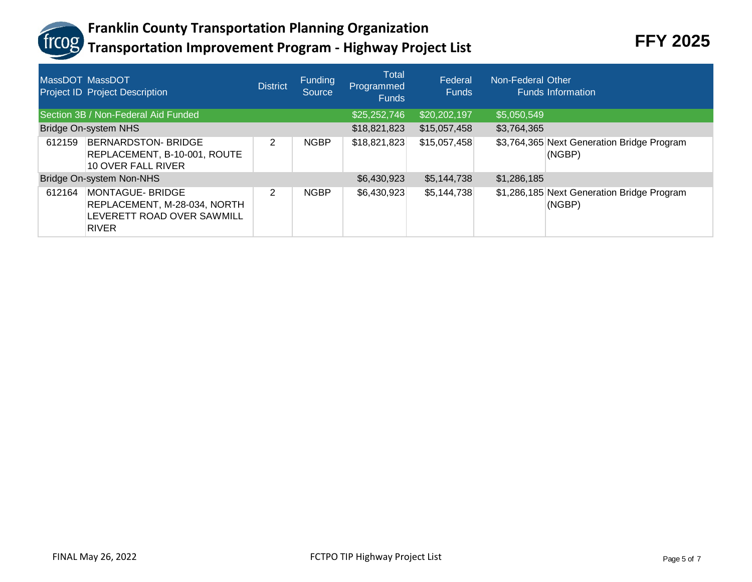

| MassDOT MassDOT | <b>Project ID Project Description</b>                                                                 | <b>District</b> | <b>Funding</b><br>Source | Total<br>Programmed<br><b>Funds</b> | Federal<br><b>Funds</b> | Non-Federal Other | <b>Funds Information</b>                             |
|-----------------|-------------------------------------------------------------------------------------------------------|-----------------|--------------------------|-------------------------------------|-------------------------|-------------------|------------------------------------------------------|
|                 | Section 3B / Non-Federal Aid Funded                                                                   |                 |                          | \$25,252,746                        | \$20,202,197            | \$5,050,549       |                                                      |
|                 | Bridge On-system NHS                                                                                  |                 |                          | \$18,821,823                        | \$15,057,458            | \$3,764,365       |                                                      |
| 612159          | <b>BERNARDSTON- BRIDGE</b><br>REPLACEMENT, B-10-001, ROUTE<br>10 OVER FALL RIVER                      | 2               | <b>NGBP</b>              | \$18,821,823                        | \$15,057,458            |                   | \$3,764,365 Next Generation Bridge Program<br>(NGBP) |
|                 | Bridge On-system Non-NHS                                                                              |                 |                          | \$6,430,923                         | \$5,144,738             | \$1,286,185       |                                                      |
| 612164          | <b>MONTAGUE- BRIDGE</b><br>REPLACEMENT, M-28-034, NORTH<br>LEVERETT ROAD OVER SAWMILL<br><b>RIVER</b> | 2               | <b>NGBP</b>              | \$6,430,923                         | \$5,144,738             |                   | \$1,286,185 Next Generation Bridge Program<br>(NGBP) |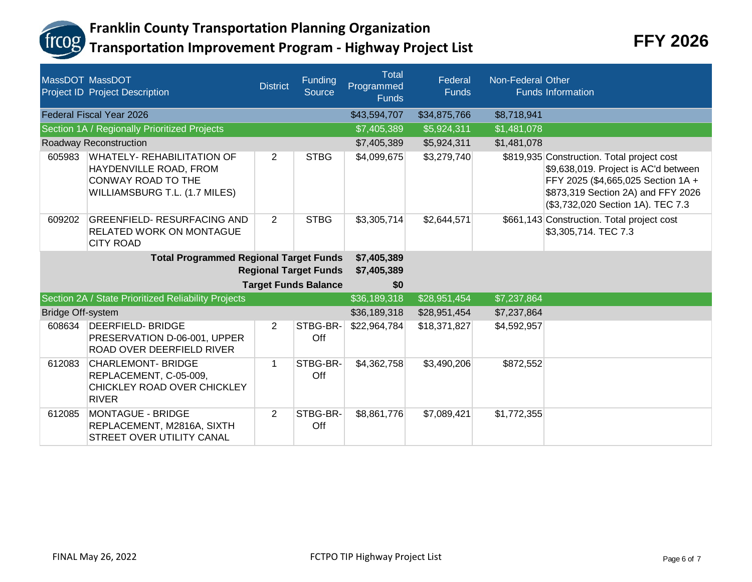

|                                               | MassDOT MassDOT<br>Project ID Project Description                                                                  | <b>District</b> | <b>Funding</b><br><b>Source</b> | <b>Total</b><br>Programmed<br><b>Funds</b> | Federal<br><b>Funds</b> | Non-Federal Other | <b>Funds Information</b>                                                                                                                                                                            |
|-----------------------------------------------|--------------------------------------------------------------------------------------------------------------------|-----------------|---------------------------------|--------------------------------------------|-------------------------|-------------------|-----------------------------------------------------------------------------------------------------------------------------------------------------------------------------------------------------|
|                                               | Federal Fiscal Year 2026                                                                                           |                 |                                 | \$43,594,707                               | \$34,875,766            | \$8,718,941       |                                                                                                                                                                                                     |
|                                               | Section 1A / Regionally Prioritized Projects                                                                       |                 |                                 | \$7,405,389                                | \$5,924,311             | \$1,481,078       |                                                                                                                                                                                                     |
|                                               | Roadway Reconstruction                                                                                             |                 |                                 | \$7,405,389                                | \$5,924,311             | \$1,481,078       |                                                                                                                                                                                                     |
| 605983                                        | <b>WHATELY- REHABILITATION OF</b><br>HAYDENVILLE ROAD, FROM<br>CONWAY ROAD TO THE<br>WILLIAMSBURG T.L. (1.7 MILES) | $\overline{2}$  | <b>STBG</b>                     | \$4,099,675                                | \$3,279,740             |                   | \$819,935 Construction. Total project cost<br>\$9,638,019. Project is AC'd between<br>FFY 2025 (\$4,665,025 Section 1A +<br>\$873,319 Section 2A) and FFY 2026<br>(\$3,732,020 Section 1A). TEC 7.3 |
| 609202                                        | <b>GREENFIELD- RESURFACING AND</b><br><b>RELATED WORK ON MONTAGUE</b><br><b>CITY ROAD</b>                          | $\overline{2}$  | <b>STBG</b>                     | \$3,305,714                                | \$2,644,571             |                   | \$661,143 Construction. Total project cost<br>\$3,305,714. TEC 7.3                                                                                                                                  |
| <b>Total Programmed Regional Target Funds</b> |                                                                                                                    |                 |                                 | \$7,405,389                                |                         |                   |                                                                                                                                                                                                     |
|                                               | <b>Regional Target Funds</b>                                                                                       |                 |                                 |                                            |                         |                   |                                                                                                                                                                                                     |
|                                               |                                                                                                                    |                 | <b>Target Funds Balance</b>     | \$0                                        |                         |                   |                                                                                                                                                                                                     |
|                                               | Section 2A / State Prioritized Reliability Projects                                                                |                 |                                 | \$36,189,318                               | \$28,951,454            | \$7,237,864       |                                                                                                                                                                                                     |
| Bridge Off-system                             |                                                                                                                    |                 |                                 | \$36,189,318                               | \$28,951,454            | \$7,237,864       |                                                                                                                                                                                                     |
| 608634                                        | <b>DEERFIELD-BRIDGE</b><br>PRESERVATION D-06-001, UPPER<br><b>ROAD OVER DEERFIELD RIVER</b>                        | $\overline{2}$  | STBG-BR-<br>Off                 | \$22,964,784                               | \$18,371,827            | \$4,592,957       |                                                                                                                                                                                                     |
| 612083                                        | <b>CHARLEMONT- BRIDGE</b><br>REPLACEMENT, C-05-009,<br>CHICKLEY ROAD OVER CHICKLEY<br><b>RIVER</b>                 | $\mathbf{1}$    | STBG-BR-<br>Off                 | \$4,362,758                                | \$3,490,206             | \$872,552         |                                                                                                                                                                                                     |
| 612085                                        | <b>MONTAGUE - BRIDGE</b><br>REPLACEMENT, M2816A, SIXTH<br>STREET OVER UTILITY CANAL                                | $\overline{2}$  | STBG-BR-<br>Off                 | \$8,861,776                                | \$7,089,421             | \$1,772,355       |                                                                                                                                                                                                     |